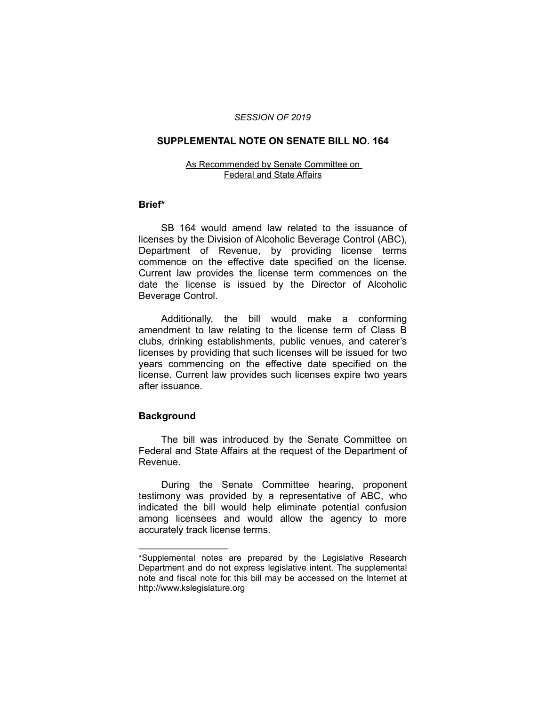### *SESSION OF 2019*

## **SUPPLEMENTAL NOTE ON SENATE BILL NO. 164**

#### As Recommended by Senate Committee on Federal and State Affairs

## **Brief\***

SB 164 would amend law related to the issuance of licenses by the Division of Alcoholic Beverage Control (ABC), Department of Revenue, by providing license terms commence on the effective date specified on the license. Current law provides the license term commences on the date the license is issued by the Director of Alcoholic Beverage Control.

Additionally, the bill would make a conforming amendment to law relating to the license term of Class B clubs, drinking establishments, public venues, and caterer's licenses by providing that such licenses will be issued for two years commencing on the effective date specified on the license. Current law provides such licenses expire two years after issuance.

# **Background**

 $\overline{\phantom{a}}$  , where  $\overline{\phantom{a}}$ 

The bill was introduced by the Senate Committee on Federal and State Affairs at the request of the Department of Revenue.

During the Senate Committee hearing, proponent testimony was provided by a representative of ABC, who indicated the bill would help eliminate potential confusion among licensees and would allow the agency to more accurately track license terms.

<sup>\*</sup>Supplemental notes are prepared by the Legislative Research Department and do not express legislative intent. The supplemental note and fiscal note for this bill may be accessed on the Internet at http://www.kslegislature.org